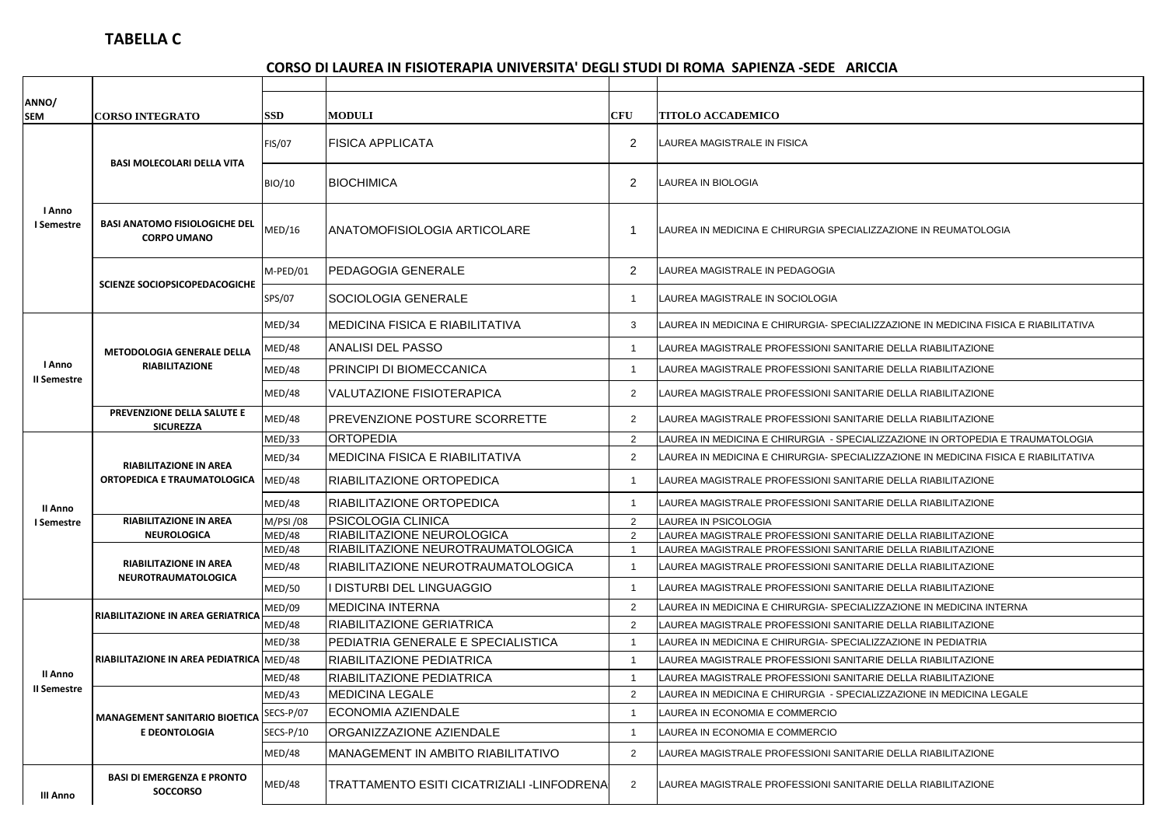## **CORSO DI LAUREA IN FISIOTERAPIA UNIVERSITA' DEGLI STUDI DI ROMA SAPIENZA -SEDE ARICCIA**

| ANNO/<br><b>SEM</b>    | <b>CORSO INTEGRATO</b>                                       | <b>SSD</b>    | <b>MODULI</b>                              | <b>CFU</b>     | <b>TITOLO ACCADEMICO</b>                                                            |
|------------------------|--------------------------------------------------------------|---------------|--------------------------------------------|----------------|-------------------------------------------------------------------------------------|
| I Anno<br>I Semestre   | <b>BASI MOLECOLARI DELLA VITA</b>                            | <b>FIS/07</b> | <b>FISICA APPLICATA</b>                    | $\overline{2}$ | LAUREA MAGISTRALE IN FISICA                                                         |
|                        |                                                              | BIO/10        | <b>BIOCHIMICA</b>                          | $\overline{2}$ | LAUREA IN BIOLOGIA                                                                  |
|                        | <b>BASI ANATOMO FISIOLOGICHE DEL</b><br><b>CORPO UMANO</b>   | MED/16        | ANATOMOFISIOLOGIA ARTICOLARE               |                | LAUREA IN MEDICINA E CHIRURGIA SPECIALIZZAZIONE IN REUMATOLOGIA                     |
|                        | SCIENZE SOCIOPSICOPEDACOGICHE                                | M-PED/01      | PEDAGOGIA GENERALE                         | $\overline{2}$ | LAUREA MAGISTRALE IN PEDAGOGIA                                                      |
|                        |                                                              | SPS/07        | SOCIOLOGIA GENERALE                        | -1             | LAUREA MAGISTRALE IN SOCIOLOGIA                                                     |
|                        | <b>METODOLOGIA GENERALE DELLA</b><br><b>RIABILITAZIONE</b>   | MED/34        | MEDICINA FISICA E RIABILITATIVA            | 3              | LAUREA IN MEDICINA E CHIRURGIA- SPECIALIZZAZIONE IN MEDICINA FISICA E RIABILITATIVA |
|                        |                                                              | MED/48        | ANALISI DEL PASSO                          | $\overline{1}$ | LAUREA MAGISTRALE PROFESSIONI SANITARIE DELLA RIABILITAZIONE                        |
| l Anno                 |                                                              | MED/48        | PRINCIPI DI BIOMECCANICA                   | -1             | LAUREA MAGISTRALE PROFESSIONI SANITARIE DELLA RIABILITAZIONE                        |
| II Semestre            |                                                              | MED/48        | VALUTAZIONE FISIOTERAPICA                  | 2              | LAUREA MAGISTRALE PROFESSIONI SANITARIE DELLA RIABILITAZIONE                        |
|                        | PREVENZIONE DELLA SALUTE E<br><b>SICUREZZA</b>               | MED/48        | PREVENZIONE POSTURE SCORRETTE              | 2              | LAUREA MAGISTRALE PROFESSIONI SANITARIE DELLA RIABILITAZIONE                        |
|                        | <b>RIABILITAZIONE IN AREA</b><br>ORTOPEDICA E TRAUMATOLOGICA | MED/33        | <b>ORTOPEDIA</b>                           | 2              | LAUREA IN MEDICINA E CHIRURGIA  - SPECIALIZZAZIONE IN ORTOPEDIA E TRAUMATOLOGIA     |
|                        |                                                              | MED/34        | MEDICINA FISICA E RIABILITATIVA            | 2              | LAUREA IN MEDICINA E CHIRURGIA- SPECIALIZZAZIONE IN MEDICINA FISICA E RIABILITATIVA |
|                        |                                                              | MED/48        | RIABILITAZIONE ORTOPEDICA                  | -1             | LAUREA MAGISTRALE PROFESSIONI SANITARIE DELLA RIABILITAZIONE                        |
| II Anno                |                                                              | MED/48        | RIABILITAZIONE ORTOPEDICA                  | -1             | LAUREA MAGISTRALE PROFESSIONI SANITARIE DELLA RIABILITAZIONE                        |
| I Semestre             | <b>RIABILITAZIONE IN AREA</b>                                | M/PSI /08     | PSICOLOGIA CLINICA                         | 2              | LAUREA IN PSICOLOGIA                                                                |
|                        | <b>NEUROLOGICA</b>                                           | MED/48        | RIABILITAZIONE NEUROLOGICA                 | 2              | LAUREA MAGISTRALE PROFESSIONI SANITARIE DELLA RIABILITAZIONE                        |
|                        | <b>RIABILITAZIONE IN AREA</b><br><b>NEUROTRAUMATOLOGICA</b>  | MED/48        | RIABILITAZIONE NEUROTRAUMATOLOGICA         | $\overline{1}$ | LAUREA MAGISTRALE PROFESSIONI SANITARIE DELLA RIABILITAZIONE                        |
|                        |                                                              | MED/48        | RIABILITAZIONE NEUROTRAUMATOLOGICA         | $\overline{1}$ | LAUREA MAGISTRALE PROFESSIONI SANITARIE DELLA RIABILITAZIONE                        |
|                        |                                                              | <b>MED/50</b> | DISTURBI DEL LINGUAGGIO                    | -1             | LAUREA MAGISTRALE PROFESSIONI SANITARIE DELLA RIABILITAZIONE                        |
| II Anno<br>II Semestre | <b>RIABILITAZIONE IN AREA GERIATRICA</b>                     | MED/09        | <b>MEDICINA INTERNA</b>                    | $\overline{2}$ | LAUREA IN MEDICINA E CHIRURGIA- SPECIALIZZAZIONE IN MEDICINA INTERNA                |
|                        |                                                              | MED/48        | <b>RIABILITAZIONE GERIATRICA</b>           | $\overline{2}$ | LAUREA MAGISTRALE PROFESSIONI SANITARIE DELLA RIABILITAZIONE                        |
|                        | RIABILITAZIONE IN AREA PEDIATRICA MED/48                     | MED/38        | PEDIATRIA GENERALE E SPECIALISTICA         | -1             | LAUREA IN MEDICINA E CHIRURGIA- SPECIALIZZAZIONE IN PEDIATRIA                       |
|                        |                                                              |               | RIABILITAZIONE PEDIATRICA                  | $\overline{1}$ | LAUREA MAGISTRALE PROFESSIONI SANITARIE DELLA RIABILITAZIONE                        |
|                        |                                                              | MED/48        | RIABILITAZIONE PEDIATRICA                  | $\overline{1}$ | LAUREA MAGISTRALE PROFESSIONI SANITARIE DELLA RIABILITAZIONE                        |
|                        | <b>MANAGEMENT SANITARIO BIOETICA</b><br>E DEONTOLOGIA        | MED/43        | <b>MEDICINA LEGALE</b>                     | $\overline{2}$ | LAUREA IN MEDICINA E CHIRURGIA - SPECIALIZZAZIONE IN MEDICINA LEGALE                |
|                        |                                                              | SECS-P/07     | ECONOMIA AZIENDALE                         | $\overline{1}$ | LAUREA IN ECONOMIA E COMMERCIO                                                      |
|                        |                                                              | SECS-P/10     | ORGANIZZAZIONE AZIENDALE                   | $\overline{1}$ | LAUREA IN ECONOMIA E COMMERCIO                                                      |
|                        |                                                              | MED/48        | MANAGEMENT IN AMBITO RIABILITATIVO         | 2              | LAUREA MAGISTRALE PROFESSIONI SANITARIE DELLA RIABILITAZIONE                        |
| III Anno               | <b>BASI DI EMERGENZA E PRONTO</b><br><b>SOCCORSO</b>         | MED/48        | TRATTAMENTO ESITI CICATRIZIALI -LINFODRENA | 2              | LAUREA MAGISTRALE PROFESSIONI SANITARIE DELLA RIABILITAZIONE                        |